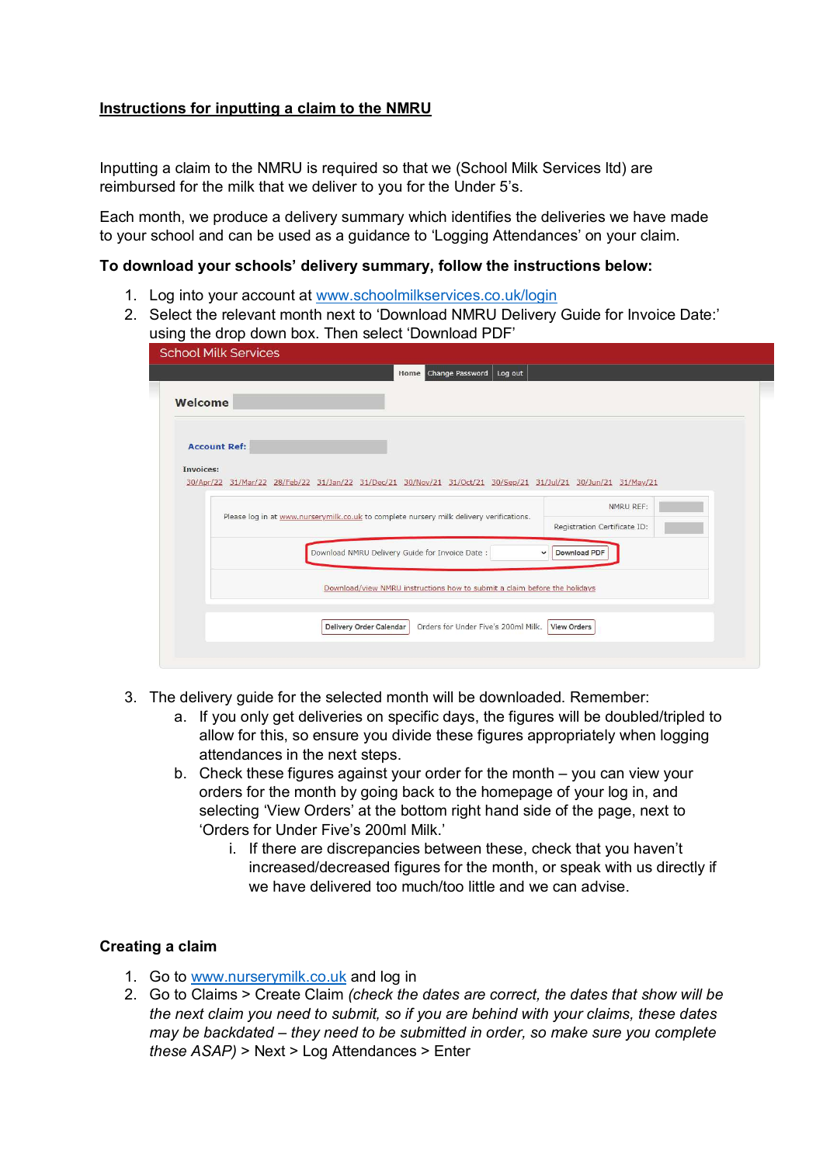## **Instructions for inputting a claim to the NMRU**

Inputting a claim to the NMRU is required so that we (School Milk Services ltd) are reimbursed for the milk that we deliver to you for the Under 5's.

Each month, we produce a delivery summary which identifies the deliveries we have made to your school and can be used as a guidance to 'Logging Attendances' on your claim.

## **To download your schools' delivery summary, follow the instructions below:**

- 1. Log into your account at www.schoolmilkservices.co.uk/login
- 2. Select the relevant month next to 'Download NMRU Delivery Guide for Invoice Date:' using the drop down box. Then select 'Download PDF'

| <b>School Milk Services</b>                                                                                                |                              |
|----------------------------------------------------------------------------------------------------------------------------|------------------------------|
| <b>Home</b> Change Password<br>Log out                                                                                     |                              |
| Welcome                                                                                                                    |                              |
| <b>Account Ref:</b>                                                                                                        |                              |
| Invoices:<br>30/Apr/22 31/Mar/22 28/Feb/22 31/Jan/22 31/Dec/21 30/Nov/21 31/Oct/21 30/Sep/21 31/Jul/21 30/Jun/21 31/May/21 |                              |
| Please log in at www.nurserymilk.co.uk to complete nursery milk delivery verifications.                                    | NMRU REF:                    |
|                                                                                                                            | Registration Certificate ID: |
| Download NMRU Delivery Guide for Invoice Date:                                                                             | Download PDF<br>$\checkmark$ |
| Download/view NMRU instructions how to submit a claim before the holidays                                                  |                              |
| Delivery Order Calendar<br>Orders for Under Five's 200ml Milk.                                                             | <b>View Orders</b>           |
|                                                                                                                            |                              |
|                                                                                                                            |                              |

- 3. The delivery guide for the selected month will be downloaded. Remember:
	- a. If you only get deliveries on specific days, the figures will be doubled/tripled to allow for this, so ensure you divide these figures appropriately when logging attendances in the next steps.
	- b. Check these figures against your order for the month you can view your orders for the month by going back to the homepage of your log in, and selecting 'View Orders' at the bottom right hand side of the page, next to 'Orders for Under Five's 200ml Milk.'
		- i. If there are discrepancies between these, check that you haven't increased/decreased figures for the month, or speak with us directly if we have delivered too much/too little and we can advise.

## **Creating a claim**

- 1. Go to www.nurserymilk.co.uk and log in
- 2. Go to Claims > Create Claim *(check the dates are correct, the dates that show will be the next claim you need to submit, so if you are behind with your claims, these dates may be backdated – they need to be submitted in order, so make sure you complete these ASAP)* > Next > Log Attendances > Enter